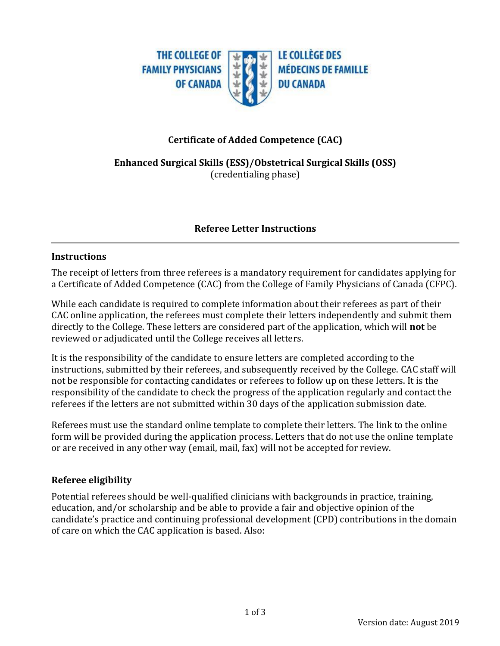

# **Certificate of Added Competence (CAC)**

**Enhanced Surgical Skills (ESS)/Obstetrical Surgical Skills (OSS)** (credentialing phase)

## **Referee Letter Instructions**

#### **Instructions**

The receipt of letters from three referees is a mandatory requirement for candidates applying for a Certificate of Added Competence (CAC) from the College of Family Physicians of Canada (CFPC).

While each candidate is required to complete information about their referees as part of their CAC online application, the referees must complete their letters independently and submit them directly to the College. These letters are considered part of the application, which will **not** be reviewed or adjudicated until the College receives all letters.

It is the responsibility of the candidate to ensure letters are completed according to the instructions, submitted by their referees, and subsequently received by the College. CAC staff will not be responsible for contacting candidates or referees to follow up on these letters. It is the responsibility of the candidate to check the progress of the application regularly and contact the referees if the letters are not submitted within 30 days of the application submission date.

Referees must use the standard online template to complete their letters. The link to the online form will be provided during the application process. Letters that do not use the online template or are received in any other way (email, mail, fax) will not be accepted for review.

## **Referee eligibility**

Potential referees should be well-qualified clinicians with backgrounds in practice, training, education, and/or scholarship and be able to provide a fair and objective opinion of the candidate's practice and continuing professional development (CPD) contributions in the domain of care on which the CAC application is based. Also: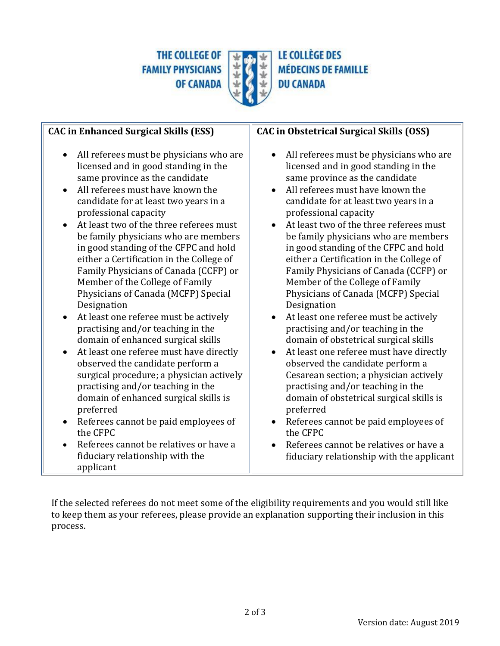THE COLLEGE OF **FAMILY PHYSICIANS OF CANADA** 



**LE COLLÈGE DES MÉDECINS DE FAMILLE DU CANADA** 

| <b>CAC in Enhanced Surgical Skills (ESS)</b>                                                                                                                                                                                                                                                                                                                                                                                                                                                                                                                                                                                                                                                                                                                                                                                                                                                                                                                                                                                                                                  | <b>CAC in Obstetrical Surgical Skills (OSS)</b>                                                                                                                                                                                                                                                                                                                                                                                                                                                                                                                                                                                                                                                                                                                                                                                                                                                                                                                                                                                                                                |
|-------------------------------------------------------------------------------------------------------------------------------------------------------------------------------------------------------------------------------------------------------------------------------------------------------------------------------------------------------------------------------------------------------------------------------------------------------------------------------------------------------------------------------------------------------------------------------------------------------------------------------------------------------------------------------------------------------------------------------------------------------------------------------------------------------------------------------------------------------------------------------------------------------------------------------------------------------------------------------------------------------------------------------------------------------------------------------|--------------------------------------------------------------------------------------------------------------------------------------------------------------------------------------------------------------------------------------------------------------------------------------------------------------------------------------------------------------------------------------------------------------------------------------------------------------------------------------------------------------------------------------------------------------------------------------------------------------------------------------------------------------------------------------------------------------------------------------------------------------------------------------------------------------------------------------------------------------------------------------------------------------------------------------------------------------------------------------------------------------------------------------------------------------------------------|
| All referees must be physicians who are<br>$\bullet$<br>licensed and in good standing in the<br>same province as the candidate<br>All referees must have known the<br>candidate for at least two years in a<br>professional capacity<br>At least two of the three referees must<br>$\bullet$<br>be family physicians who are members<br>in good standing of the CFPC and hold<br>either a Certification in the College of<br>Family Physicians of Canada (CCFP) or<br>Member of the College of Family<br>Physicians of Canada (MCFP) Special<br>Designation<br>At least one referee must be actively<br>$\bullet$<br>practising and/or teaching in the<br>domain of enhanced surgical skills<br>At least one referee must have directly<br>$\bullet$<br>observed the candidate perform a<br>surgical procedure; a physician actively<br>practising and/or teaching in the<br>domain of enhanced surgical skills is<br>preferred<br>Referees cannot be paid employees of<br>the CFPC<br>Referees cannot be relatives or have a<br>fiduciary relationship with the<br>applicant | All referees must be physicians who are<br>$\bullet$<br>licensed and in good standing in the<br>same province as the candidate<br>All referees must have known the<br>$\bullet$<br>candidate for at least two years in a<br>professional capacity<br>At least two of the three referees must<br>$\bullet$<br>be family physicians who are members<br>in good standing of the CFPC and hold<br>either a Certification in the College of<br>Family Physicians of Canada (CCFP) or<br>Member of the College of Family<br>Physicians of Canada (MCFP) Special<br>Designation<br>At least one referee must be actively<br>practising and/or teaching in the<br>domain of obstetrical surgical skills<br>At least one referee must have directly<br>$\bullet$<br>observed the candidate perform a<br>Cesarean section; a physician actively<br>practising and/or teaching in the<br>domain of obstetrical surgical skills is<br>preferred<br>Referees cannot be paid employees of<br>the CFPC<br>Referees cannot be relatives or have a<br>fiduciary relationship with the applicant |

If the selected referees do not meet some of the eligibility requirements and you would still like to keep them as your referees, please provide an explanation supporting their inclusion in this process.